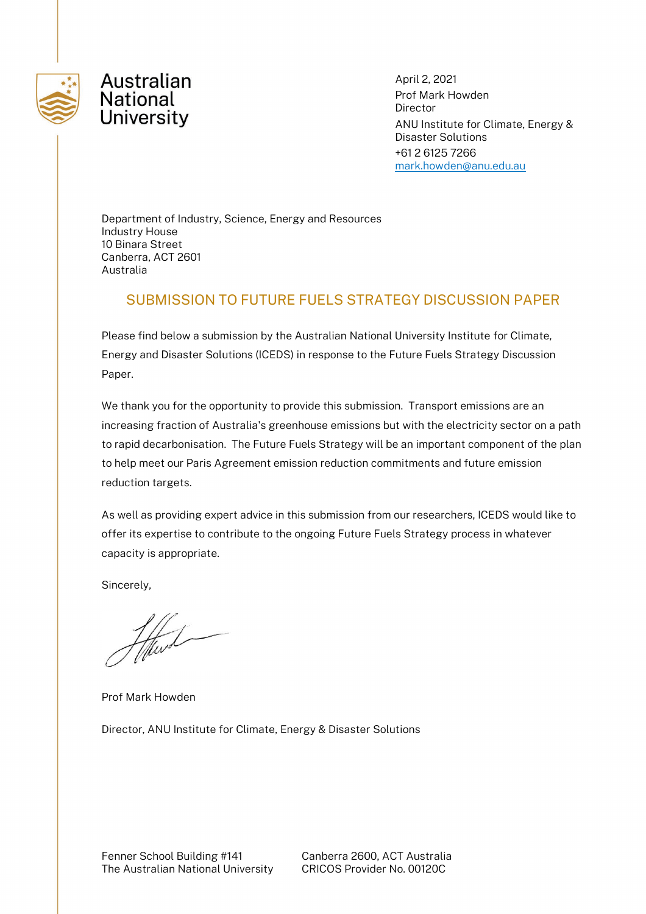



April 2, 2021 Prof Mark Howden Director ANU Institute for Climate, Energy & Disaster Solutions +61 2 6125 7266 [mark.howden@anu.edu.au](mailto:francis.markham@anu.edu.au)

Department of Industry, Science, Energy and Resources Industry House 10 Binara Street Canberra, ACT 2601 Australia

## SUBMISSION TO FUTURE FUELS STRATEGY DISCUSSION PAPER

Please find below a submission by the Australian National University Institute for Climate, Energy and Disaster Solutions (ICEDS) in response to the Future Fuels Strategy Discussion Paper.

We thank you for the opportunity to provide this submission. Transport emissions are an increasing fraction of Australia's greenhouse emissions but with the electricity sector on a path to rapid decarbonisation. The Future Fuels Strategy will be an important component of the plan to help meet our Paris Agreement emission reduction commitments and future emission reduction targets.

As well as providing expert advice in this submission from our researchers, ICEDS would like to offer its expertise to contribute to the ongoing Future Fuels Strategy process in whatever capacity is appropriate.

Sincerely,

Prof Mark Howden

Director, ANU Institute for Climate, Energy & Disaster Solutions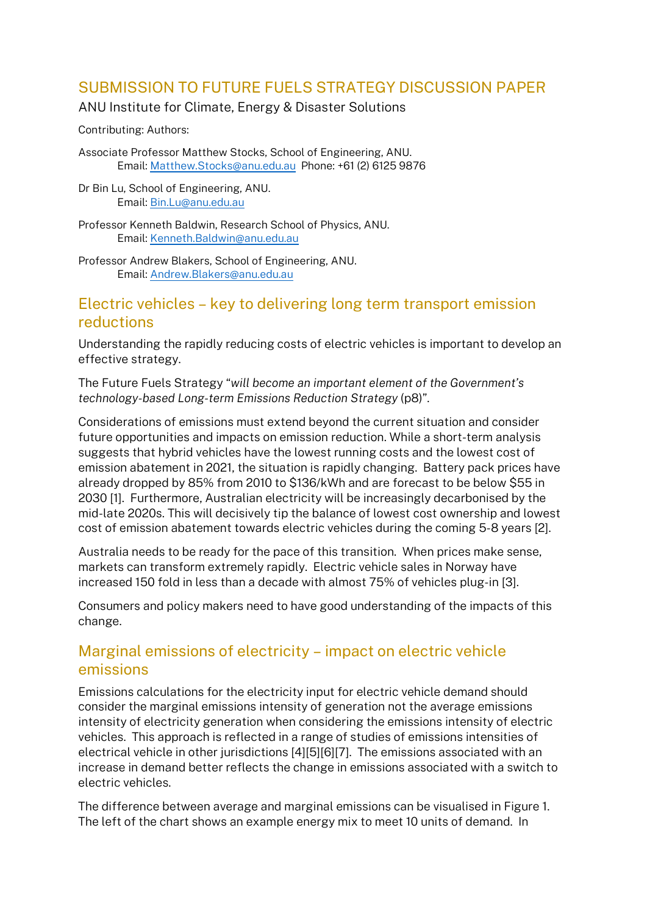# SUBMISSION TO FUTURE FUELS STRATEGY DISCUSSION PAPER

### ANU Institute for Climate, Energy & Disaster Solutions

Contributing: Authors:

Associate Professor Matthew Stocks, School of Engineering, ANU. Email: [Matthew.Stocks@anu.edu.au](mailto:Matthew.Stocks@anu.edu.au) Phone: +61 (2) 6125 9876

Dr Bin Lu, School of Engineering, ANU. Email: Bin.Lu@anu.edu.au

Professor Kenneth Baldwin, Research School of Physics, ANU. Email: Kenneth.Baldwin@anu.edu.au

Professor Andrew Blakers, School of Engineering, ANU. Email: Andrew.Blakers@anu.edu.au

## Electric vehicles – key to delivering long term transport emission reductions

Understanding the rapidly reducing costs of electric vehicles is important to develop an effective strategy.

The Future Fuels Strategy "*will become an important element of the Government's technology-based Long-term Emissions Reduction Strategy* (p8)".

Considerations of emissions must extend beyond the current situation and consider future opportunities and impacts on emission reduction. While a short-term analysis suggests that hybrid vehicles have the lowest running costs and the lowest cost of emission abatement in 2021, the situation is rapidly changing. Battery pack prices have already dropped by 85% from 2010 to \$136/kWh and are forecast to be below \$55 in 2030 [1]. Furthermore, Australian electricity will be increasingly decarbonised by the mid-late 2020s. This will decisively tip the balance of lowest cost ownership and lowest cost of emission abatement towards electric vehicles during the coming 5-8 years [2].

Australia needs to be ready for the pace of this transition. When prices make sense, markets can transform extremely rapidly. Electric vehicle sales in Norway have increased 150 fold in less than a decade with almost 75% of vehicles plug-in [3].

Consumers and policy makers need to have good understanding of the impacts of this change.

# Marginal emissions of electricity – impact on electric vehicle emissions

Emissions calculations for the electricity input for electric vehicle demand should consider the marginal emissions intensity of generation not the average emissions intensity of electricity generation when considering the emissions intensity of electric vehicles. This approach is reflected in a range of studies of emissions intensities of electrical vehicle in other jurisdictions [4][5][6][7]. The emissions associated with an increase in demand better reflects the change in emissions associated with a switch to electric vehicles.

The difference between average and marginal emissions can be visualised in [Figure 1.](#page-2-0) The left of the chart shows an example energy mix to meet 10 units of demand. In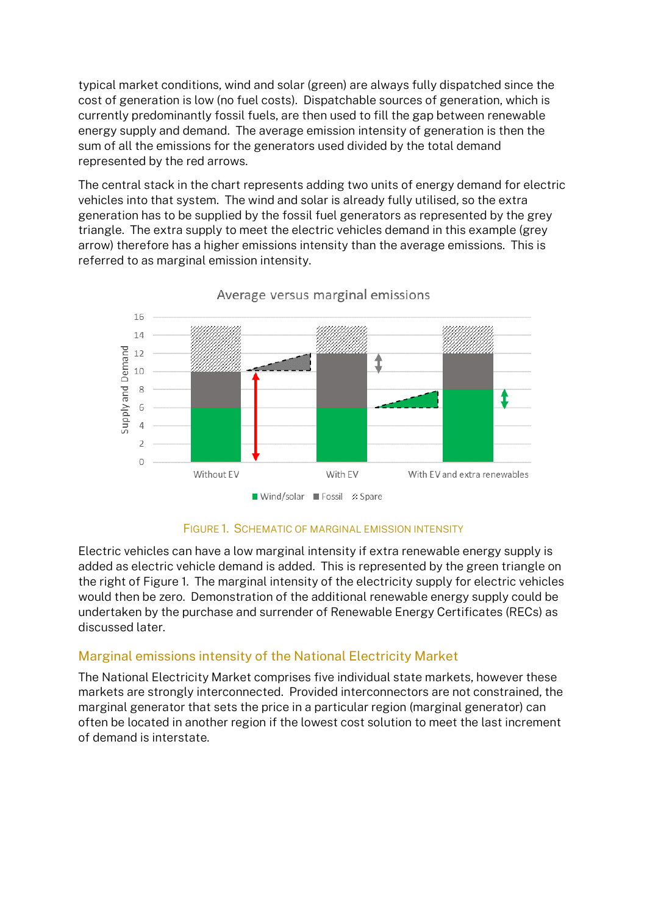typical market conditions, wind and solar (green) are always fully dispatched since the cost of generation is low (no fuel costs). Dispatchable sources of generation, which is currently predominantly fossil fuels, are then used to fill the gap between renewable energy supply and demand. The average emission intensity of generation is then the sum of all the emissions for the generators used divided by the total demand represented by the red arrows.

The central stack in the chart represents adding two units of energy demand for electric vehicles into that system. The wind and solar is already fully utilised, so the extra generation has to be supplied by the fossil fuel generators as represented by the grey triangle. The extra supply to meet the electric vehicles demand in this example (grey arrow) therefore has a higher emissions intensity than the average emissions. This is referred to as marginal emission intensity.



Average versus marginal emissions

FIGURE 1. SCHEMATIC OF MARGINAL EMISSION INTENSITY

<span id="page-2-0"></span>Electric vehicles can have a low marginal intensity if extra renewable energy supply is added as electric vehicle demand is added. This is represented by the green triangle on the right of [Figure 1.](#page-2-0) The marginal intensity of the electricity supply for electric vehicles would then be zero. Demonstration of the additional renewable energy supply could be undertaken by the purchase and surrender of Renewable Energy Certificates (RECs) as discussed later.

## Marginal emissions intensity of the National Electricity Market

The National Electricity Market comprises five individual state markets, however these markets are strongly interconnected. Provided interconnectors are not constrained, the marginal generator that sets the price in a particular region (marginal generator) can often be located in another region if the lowest cost solution to meet the last increment of demand is interstate.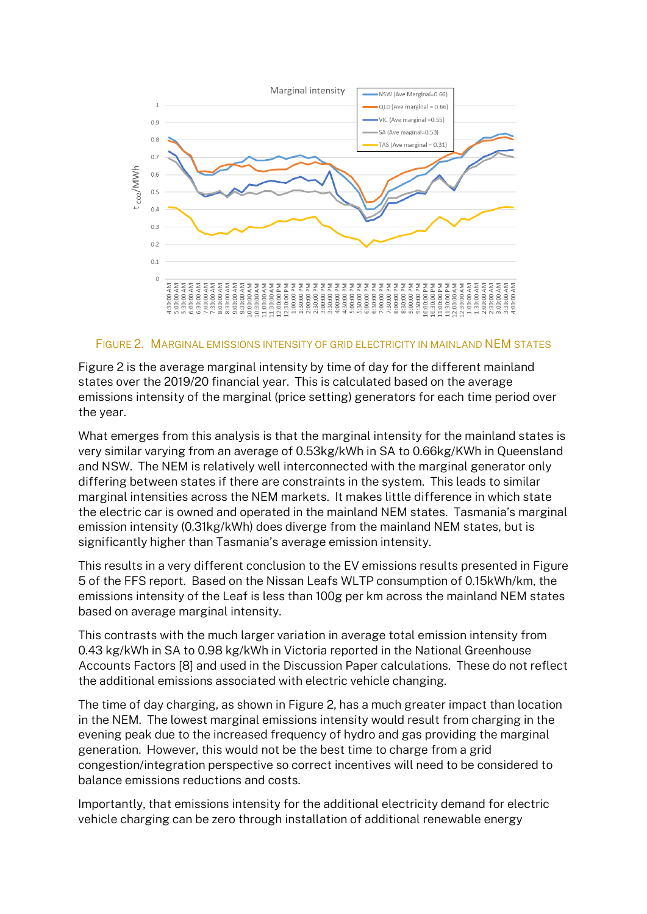

<span id="page-3-0"></span>FIGURE 2. MARGINAL EMISSIONS INTENSITY OF GRID ELECTRICITY IN MAINLAND NEM STATES

Figure 2 is the average marginal intensity by time of day for the different mainland states over the 2019/20 financial year. This is calculated based on the average emissions intensity of the marginal (price setting) generators for each time period over the year.

What emerges from this analysis is that the marginal intensity for the mainland states is very similar varying from an average of 0.53kg/kWh in SA to 0.66kg/KWh in Queensland and NSW. The NEM is relatively well interconnected with the marginal generator only differing between states if there are constraints in the system. This leads to similar marginal intensities across the NEM markets. It makes little difference in which state the electric car is owned and operated in the mainland NEM states. Tasmania's marginal emission intensity (0.31kg/kWh) does diverge from the mainland NEM states, but is significantly higher than Tasmania's average emission intensity.

This results in a very different conclusion to the EV emissions results presented in Figure 5 of the FFS report. Based on the Nissan Leafs WLTP consumption of 0.15kWh/km, the emissions intensity of the Leaf is less than 100g per km across the mainland NEM states based on average marginal intensity.

This contrasts with the much larger variation in average total emission intensity from 0.43 kg/kWh in SA to 0.98 kg/kWh in Victoria reported in the National Greenhouse Accounts Factors [8] and used in the Discussion Paper calculations. These do not reflect the additional emissions associated with electric vehicle changing.

The time of day charging, as shown in [Figure 2,](#page-3-0) has a much greater impact than location in the NEM. The lowest marginal emissions intensity would result from charging in the evening peak due to the increased frequency of hydro and gas providing the marginal generation. However, this would not be the best time to charge from a grid congestion/integration perspective so correct incentives will need to be considered to balance emissions reductions and costs.

Importantly, that emissions intensity for the additional electricity demand for electric vehicle charging can be zero through installation of additional renewable energy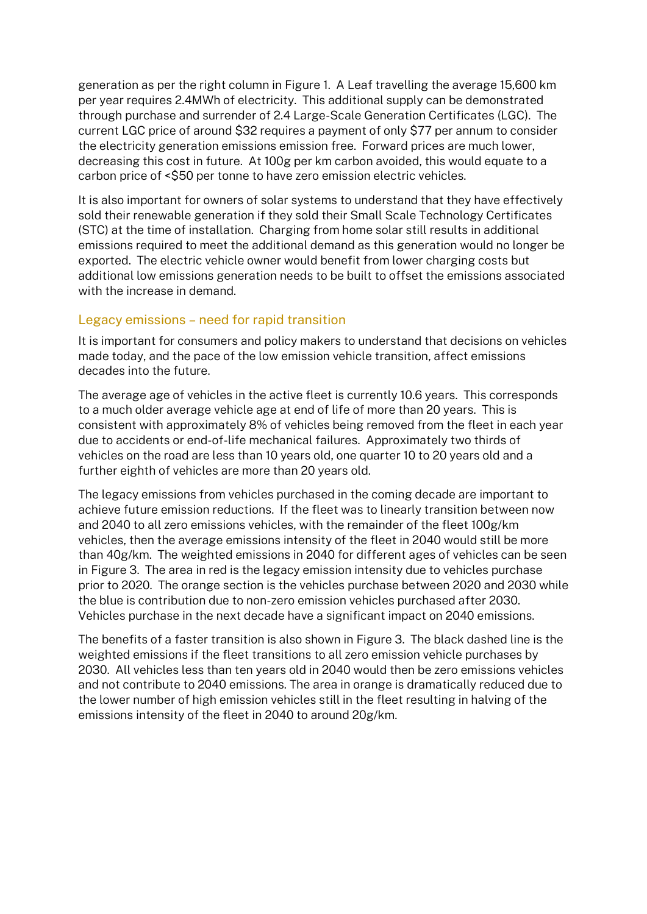generation as per the right column in [Figure 1.](#page-2-0) A Leaf travelling the average 15,600 km per year requires 2.4MWh of electricity. This additional supply can be demonstrated through purchase and surrender of 2.4 Large-Scale Generation Certificates (LGC). The current LGC price of around \$32 requires a payment of only \$77 per annum to consider the electricity generation emissions emission free. Forward prices are much lower, decreasing this cost in future. At 100g per km carbon avoided, this would equate to a carbon price of <\$50 per tonne to have zero emission electric vehicles.

It is also important for owners of solar systems to understand that they have effectively sold their renewable generation if they sold their Small Scale Technology Certificates (STC) at the time of installation. Charging from home solar still results in additional emissions required to meet the additional demand as this generation would no longer be exported. The electric vehicle owner would benefit from lower charging costs but additional low emissions generation needs to be built to offset the emissions associated with the increase in demand.

### Legacy emissions – need for rapid transition

It is important for consumers and policy makers to understand that decisions on vehicles made today, and the pace of the low emission vehicle transition, affect emissions decades into the future.

The average age of vehicles in the active fleet is currently 10.6 years. This corresponds to a much older average vehicle age at end of life of more than 20 years. This is consistent with approximately 8% of vehicles being removed from the fleet in each year due to accidents or end-of-life mechanical failures. Approximately two thirds of vehicles on the road are less than 10 years old, one quarter 10 to 20 years old and a further eighth of vehicles are more than 20 years old.

The legacy emissions from vehicles purchased in the coming decade are important to achieve future emission reductions. If the fleet was to linearly transition between now and 2040 to all zero emissions vehicles, with the remainder of the fleet 100g/km vehicles, then the average emissions intensity of the fleet in 2040 would still be more than 40g/km. The weighted emissions in 2040 for different ages of vehicles can be seen i[n Figure 3.](#page-5-0) The area in red is the legacy emission intensity due to vehicles purchase prior to 2020. The orange section is the vehicles purchase between 2020 and 2030 while the blue is contribution due to non-zero emission vehicles purchased after 2030. Vehicles purchase in the next decade have a significant impact on 2040 emissions.

The benefits of a faster transition is also shown in [Figure 3.](#page-5-0) The black dashed line is the weighted emissions if the fleet transitions to all zero emission vehicle purchases by 2030. All vehicles less than ten years old in 2040 would then be zero emissions vehicles and not contribute to 2040 emissions. The area in orange is dramatically reduced due to the lower number of high emission vehicles still in the fleet resulting in halving of the emissions intensity of the fleet in 2040 to around 20g/km.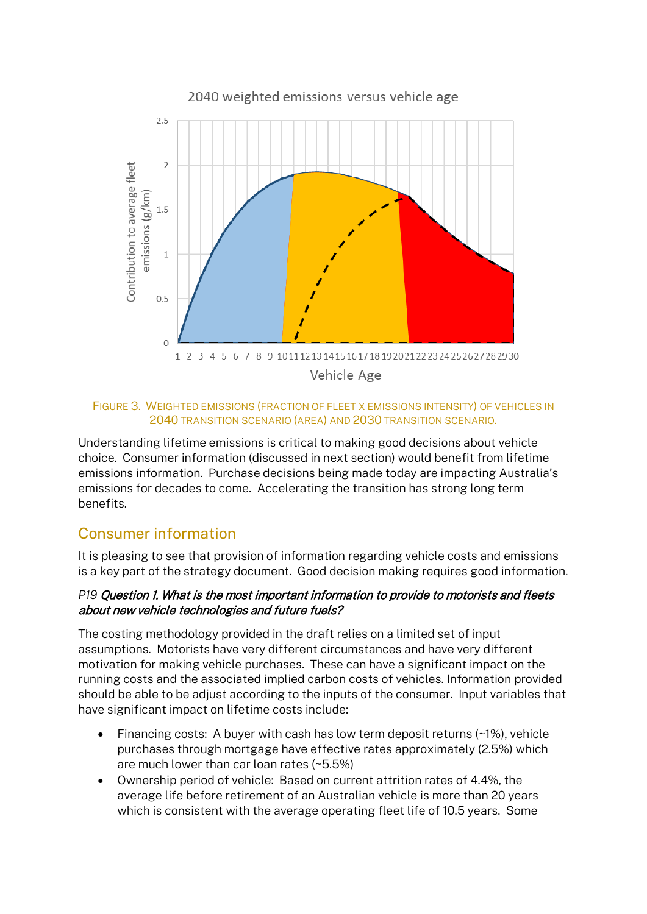

#### <span id="page-5-0"></span>FIGURE 3. WEIGHTED EMISSIONS (FRACTION OF FLEET X EMISSIONS INTENSITY) OF VEHICLES IN 2040 TRANSITION SCENARIO (AREA) AND 2030 TRANSITION SCENARIO.

Understanding lifetime emissions is critical to making good decisions about vehicle choice. Consumer information (discussed in next section) would benefit from lifetime emissions information. Purchase decisions being made today are impacting Australia's emissions for decades to come. Accelerating the transition has strong long term benefits.

# Consumer information

It is pleasing to see that provision of information regarding vehicle costs and emissions is a key part of the strategy document. Good decision making requires good information.

### *P19* Question 1. What is the most important information to provide to motorists and fleets about new vehicle technologies and future fuels?

The costing methodology provided in the draft relies on a limited set of input assumptions. Motorists have very different circumstances and have very different motivation for making vehicle purchases. These can have a significant impact on the running costs and the associated implied carbon costs of vehicles. Information provided should be able to be adjust according to the inputs of the consumer. Input variables that have significant impact on lifetime costs include:

- Financing costs: A buyer with cash has low term deposit returns (~1%), vehicle purchases through mortgage have effective rates approximately (2.5%) which are much lower than car loan rates (~5.5%)
- Ownership period of vehicle: Based on current attrition rates of 4.4%, the average life before retirement of an Australian vehicle is more than 20 years which is consistent with the average operating fleet life of 10.5 years. Some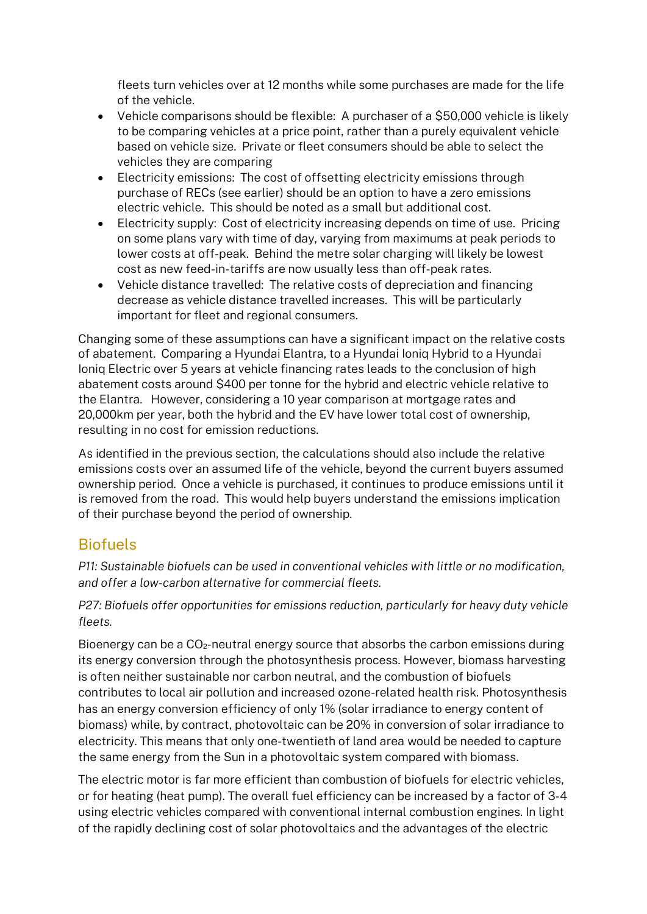fleets turn vehicles over at 12 months while some purchases are made for the life of the vehicle.

- Vehicle comparisons should be flexible: A purchaser of a \$50,000 vehicle is likely to be comparing vehicles at a price point, rather than a purely equivalent vehicle based on vehicle size. Private or fleet consumers should be able to select the vehicles they are comparing
- Electricity emissions: The cost of offsetting electricity emissions through purchase of RECs (see earlier) should be an option to have a zero emissions electric vehicle. This should be noted as a small but additional cost.
- Electricity supply: Cost of electricity increasing depends on time of use. Pricing on some plans vary with time of day, varying from maximums at peak periods to lower costs at off-peak. Behind the metre solar charging will likely be lowest cost as new feed-in-tariffs are now usually less than off-peak rates.
- Vehicle distance travelled: The relative costs of depreciation and financing decrease as vehicle distance travelled increases. This will be particularly important for fleet and regional consumers.

Changing some of these assumptions can have a significant impact on the relative costs of abatement. Comparing a Hyundai Elantra, to a Hyundai Ioniq Hybrid to a Hyundai Ioniq Electric over 5 years at vehicle financing rates leads to the conclusion of high abatement costs around \$400 per tonne for the hybrid and electric vehicle relative to the Elantra. However, considering a 10 year comparison at mortgage rates and 20,000km per year, both the hybrid and the EV have lower total cost of ownership, resulting in no cost for emission reductions.

As identified in the previous section, the calculations should also include the relative emissions costs over an assumed life of the vehicle, beyond the current buyers assumed ownership period. Once a vehicle is purchased, it continues to produce emissions until it is removed from the road. This would help buyers understand the emissions implication of their purchase beyond the period of ownership.

# **Biofuels**

*P11: Sustainable biofuels can be used in conventional vehicles with little or no modification, and offer a low-carbon alternative for commercial fleets.*

*P27: Biofuels offer opportunities for emissions reduction, particularly for heavy duty vehicle fleets.*

Bioenergy can be a  $CO<sub>2</sub>$ -neutral energy source that absorbs the carbon emissions during its energy conversion through the photosynthesis process. However, biomass harvesting is often neither sustainable nor carbon neutral, and the combustion of biofuels contributes to local air pollution and increased ozone-related health risk. Photosynthesis has an energy conversion efficiency of only 1% (solar irradiance to energy content of biomass) while, by contract, photovoltaic can be 20% in conversion of solar irradiance to electricity. This means that only one-twentieth of land area would be needed to capture the same energy from the Sun in a photovoltaic system compared with biomass.

The electric motor is far more efficient than combustion of biofuels for electric vehicles, or for heating (heat pump). The overall fuel efficiency can be increased by a factor of 3-4 using electric vehicles compared with conventional internal combustion engines. In light of the rapidly declining cost of solar photovoltaics and the advantages of the electric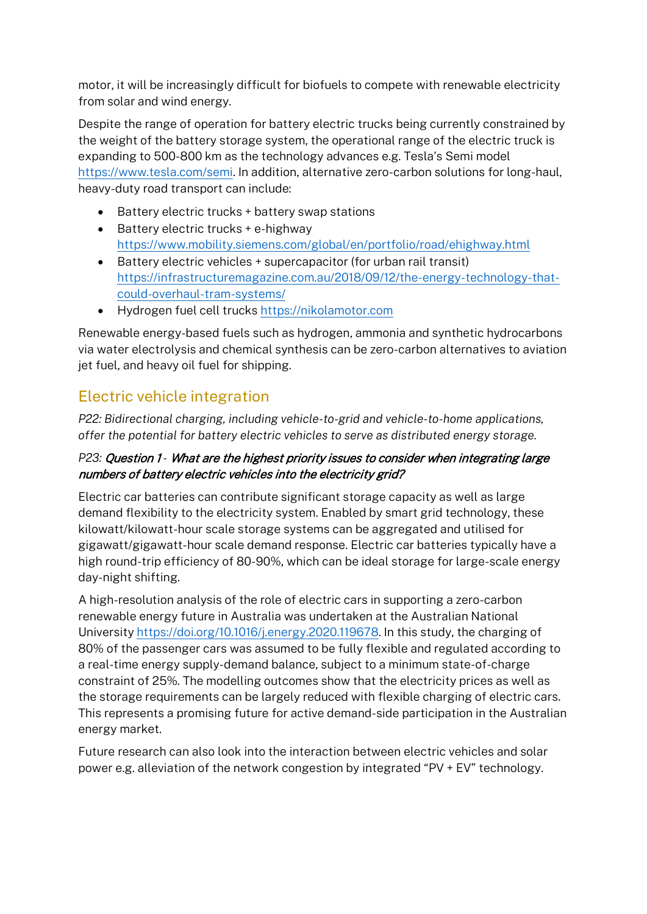motor, it will be increasingly difficult for biofuels to compete with renewable electricity from solar and wind energy.

Despite the range of operation for battery electric trucks being currently constrained by the weight of the battery storage system, the operational range of the electric truck is expanding to 500-800 km as the technology advances e.g. Tesla's Semi model [https://www.tesla.com/semi.](https://www.tesla.com/semi) In addition, alternative zero-carbon solutions for long-haul, heavy-duty road transport can include:

- Battery electric trucks + battery swap stations
- Battery electric trucks + e-highway <https://www.mobility.siemens.com/global/en/portfolio/road/ehighway.html>
- Battery electric vehicles + supercapacitor (for urban rail transit) [https://infrastructuremagazine.com.au/2018/09/12/the-energy-technology-that](https://infrastructuremagazine.com.au/2018/09/12/the-energy-technology-that-could-overhaul-tram-systems/)[could-overhaul-tram-systems/](https://infrastructuremagazine.com.au/2018/09/12/the-energy-technology-that-could-overhaul-tram-systems/)
- Hydrogen fuel cell trucks [https://nikolamotor.com](https://nikolamotor.com/)

Renewable energy-based fuels such as hydrogen, ammonia and synthetic hydrocarbons via water electrolysis and chemical synthesis can be zero-carbon alternatives to aviation jet fuel, and heavy oil fuel for shipping.

# Electric vehicle integration

*P22: Bidirectional charging, including vehicle-to-grid and vehicle-to-home applications, offer the potential for battery electric vehicles to serve as distributed energy storage.*

## *P23:* Question 1 *-* What are the highest priority issues to consider when integrating large numbers of battery electric vehicles into the electricity grid?

Electric car batteries can contribute significant storage capacity as well as large demand flexibility to the electricity system. Enabled by smart grid technology, these kilowatt/kilowatt-hour scale storage systems can be aggregated and utilised for gigawatt/gigawatt-hour scale demand response. Electric car batteries typically have a high round-trip efficiency of 80-90%, which can be ideal storage for large-scale energy day-night shifting.

A high-resolution analysis of the role of electric cars in supporting a zero-carbon renewable energy future in Australia was undertaken at the Australian National University [https://doi.org/10.1016/j.energy.2020.119678.](https://doi.org/10.1016/j.energy.2020.119678) In this study, the charging of 80% of the passenger cars was assumed to be fully flexible and regulated according to a real-time energy supply-demand balance, subject to a minimum state-of-charge constraint of 25%. The modelling outcomes show that the electricity prices as well as the storage requirements can be largely reduced with flexible charging of electric cars. This represents a promising future for active demand-side participation in the Australian energy market.

Future research can also look into the interaction between electric vehicles and solar power e.g. alleviation of the network congestion by integrated "PV + EV" technology.